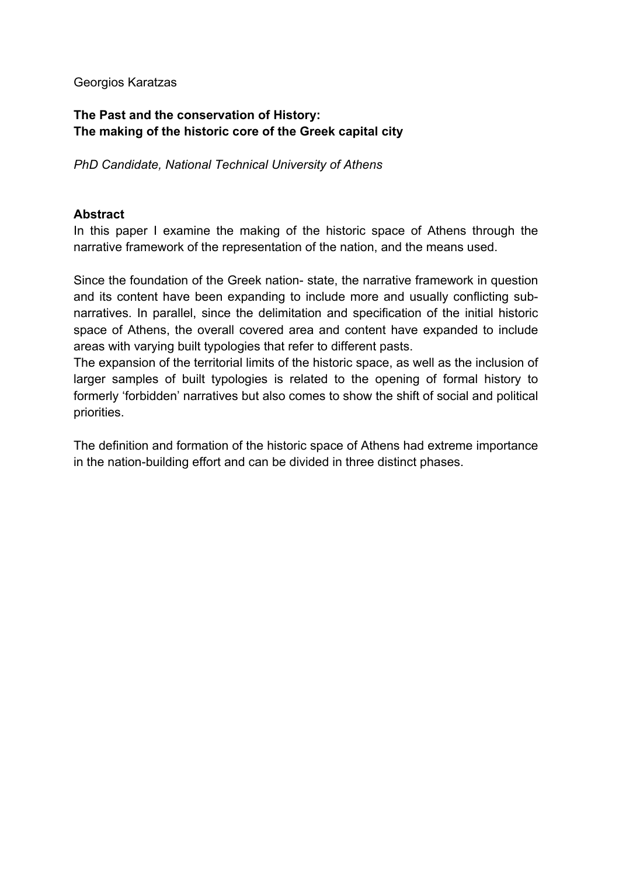## Georgios Karatzas

# **The Past and the conservation of History: The making of the historic core of the Greek capital city**

*PhD Candidate, National Technical University of Athens*

## **Abstract**

In this paper I examine the making of the historic space of Athens through the narrative framework of the representation of the nation, and the means used.

Since the foundation of the Greek nation- state, the narrative framework in question and its content have been expanding to include more and usually conflicting subnarratives. In parallel, since the delimitation and specification of the initial historic space of Athens, the overall covered area and content have expanded to include areas with varying built typologies that refer to different pasts.

The expansion of the territorial limits of the historic space, as well as the inclusion of larger samples of built typologies is related to the opening of formal history to formerly 'forbidden' narratives but also comes to show the shift of social and political priorities.

The definition and formation of the historic space of Athens had extreme importance in the nation-building effort and can be divided in three distinct phases.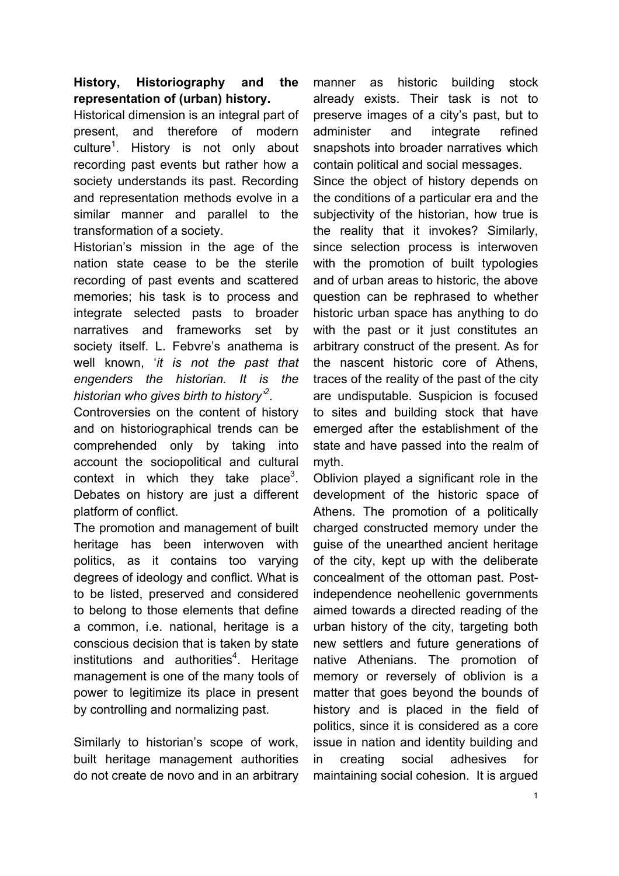# **History, Historiography and the representation of (urban) history.**

Historical dimension is an integral part of present, and therefore of modern culture<sup>1</sup>. History is not only about recording past events but rather how a society understands its past. Recording and representation methods evolve in a similar manner and parallel to the transformation of a society.

Historian's mission in the age of the nation state cease to be the sterile recording of past events and scattered memories; his task is to process and integrate selected pasts to broader narratives and frameworks set by society itself. L. Febvre's anathema is well known, '*it is not the past that engenders the historian. It is the historian who gives birth to history'2* .

Controversies on the content of history and on historiographical trends can be comprehended only by taking into account the sociopolitical and cultural context in which they take place<sup>3</sup>. Debates on history are just a different platform of conflict.

The promotion and management of built heritage has been interwoven with politics, as it contains too varying degrees of ideology and conflict. What is to be listed, preserved and considered to belong to those elements that define a common, i.e. national, heritage is a conscious decision that is taken by state institutions and authorities<sup>4</sup>. Heritage management is one of the many tools of power to legitimize its place in present by controlling and normalizing past.

Similarly to historian's scope of work, built heritage management authorities do not create de novo and in an arbitrary manner as historic building stock already exists. Their task is not to preserve images of a city's past, but to administer and integrate refined snapshots into broader narratives which contain political and social messages.

Since the object of history depends on the conditions of a particular era and the subjectivity of the historian, how true is the reality that it invokes? Similarly, since selection process is interwoven with the promotion of built typologies and of urban areas to historic, the above question can be rephrased to whether historic urban space has anything to do with the past or it just constitutes an arbitrary construct of the present. As for the nascent historic core of Athens, traces of the reality of the past of the city are undisputable. Suspicion is focused to sites and building stock that have emerged after the establishment of the state and have passed into the realm of myth.

Oblivion played a significant role in the development of the historic space of Athens. The promotion of a politically charged constructed memory under the guise of the unearthed ancient heritage of the city, kept up with the deliberate concealment of the ottoman past. Postindependence neohellenic governments aimed towards a directed reading of the urban history of the city, targeting both new settlers and future generations of native Athenians. The promotion of memory or reversely of oblivion is a matter that goes beyond the bounds of history and is placed in the field of politics, since it is considered as a core issue in nation and identity building and in creating social adhesives for maintaining social cohesion. It is argued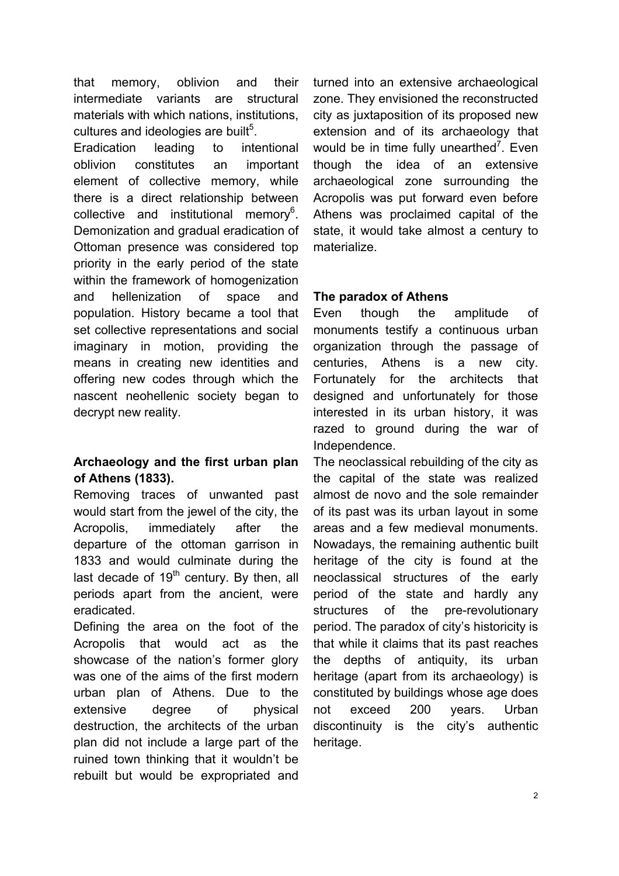that memory, oblivion and their intermediate variants are structural materials with which nations, institutions, cultures and ideologies are built<sup>5</sup>. Eradication leading to intentional oblivion constitutes an important element of collective memory, while there is a direct relationship between collective and institutional memory $6$ . Demonization and gradual eradication of Ottoman presence was considered top priority in the early period of the state within the framework of homogenization and hellenization of space and population. History became a tool that set collective representations and social imaginary in motion, providing the means in creating new identities and offering new codes through which the nascent neohellenic society began to decrypt new reality.

# **Archaeology and the first urban plan of Athens (1833).**

Removing traces of unwanted past would start from the jewel of the city, the Acropolis, immediately after the departure of the ottoman garrison in 1833 and would culminate during the last decade of  $19<sup>th</sup>$  century. By then, all periods apart from the ancient, were eradicated.

Defining the area on the foot of the Acropolis that would act as the showcase of the nation's former glory was one of the aims of the first modern urban plan of Athens. Due to the extensive degree of physical destruction, the architects of the urban plan did not include a large part of the ruined town thinking that it wouldn't be rebuilt but would be expropriated and

turned into an extensive archaeological zone. They envisioned the reconstructed city as juxtaposition of its proposed new extension and of its archaeology that would be in time fully unearthed<sup>7</sup>. Even though the idea of an extensive archaeological zone surrounding the Acropolis was put forward even before Athens was proclaimed capital of the state, it would take almost a century to materialize.

# **The paradox of Athens**

Even though the amplitude of monuments testify a continuous urban organization through the passage of centuries, Athens is a new city. Fortunately for the architects that designed and unfortunately for those interested in its urban history, it was razed to ground during the war of Independence.

The neoclassical rebuilding of the city as the capital of the state was realized almost de novo and the sole remainder of its past was its urban layout in some areas and a few medieval monuments. Nowadays, the remaining authentic built heritage of the city is found at the neoclassical structures of the early period of the state and hardly any structures of the pre-revolutionary period. The paradox of city's historicity is that while it claims that its past reaches the depths of antiquity, its urban heritage (apart from its archaeology) is constituted by buildings whose age does not exceed 200 years. Urban discontinuity is the city's authentic heritage.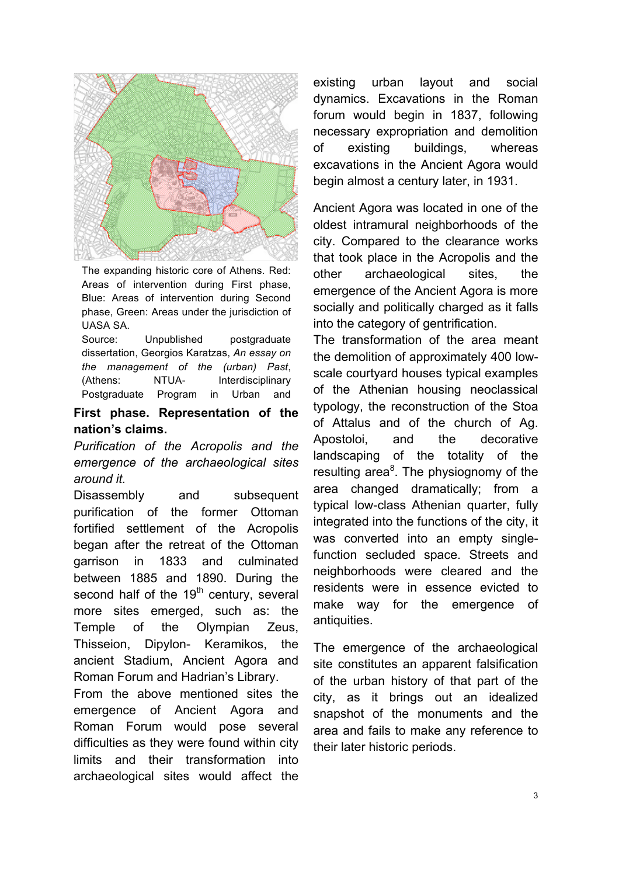

The expanding historic core of Athens. Red: Areas of intervention during First phase, Blue: Areas of intervention during Second phase, Green: Areas under the jurisdiction of UASA SA.

Source: Unpublished postgraduate dissertation, Georgios Karatzas, *An essay on the management of the (urban) Past*, (Athens: NTUA- Interdisciplinary Postgraduate Program in Urban and

#### First phase. Representation of the **nation's claims.**

*Purification of the Acropolis and the emergence of the archaeological sites around it.*

Disassembly and subsequent purification of the former Ottoman fortified settlement of the Acropolis began after the retreat of the Ottoman garrison in 1833 and culminated between 1885 and 1890. During the second half of the 19<sup>th</sup> century, several more sites emerged, such as: the Temple of the Olympian Zeus, Thisseion, Dipylon- Keramikos, the ancient Stadium, Ancient Agora and Roman Forum and Hadrian's Library.

From the above mentioned sites the emergence of Ancient Agora and Roman Forum would pose several difficulties as they were found within city limits and their transformation into archaeological sites would affect the

existing urban layout and social dynamics. Excavations in the Roman forum would begin in 1837, following necessary expropriation and demolition of existing buildings, whereas excavations in the Ancient Agora would begin almost a century later, in 1931.

Ancient Agora was located in one of the oldest intramural neighborhoods of the city. Compared to the clearance works that took place in the Acropolis and the other archaeological sites, the emergence of the Ancient Agora is more socially and politically charged as it falls into the category of gentrification.

The transformation of the area meant the demolition of approximately 400 lowscale courtyard houses typical examples of the Athenian housing neoclassical typology, the reconstruction of the Stoa of Attalus and of the church of Ag. Apostoloi, and the decorative landscaping of the totality of the resulting area<sup>8</sup>. The physiognomy of the area changed dramatically; from a typical low-class Athenian quarter, fully integrated into the functions of the city, it was converted into an empty singlefunction secluded space. Streets and neighborhoods were cleared and the residents were in essence evicted to make way for the emergence of antiquities.

The emergence of the archaeological site constitutes an apparent falsification of the urban history of that part of the city, as it brings out an idealized snapshot of the monuments and the area and fails to make any reference to their later historic periods.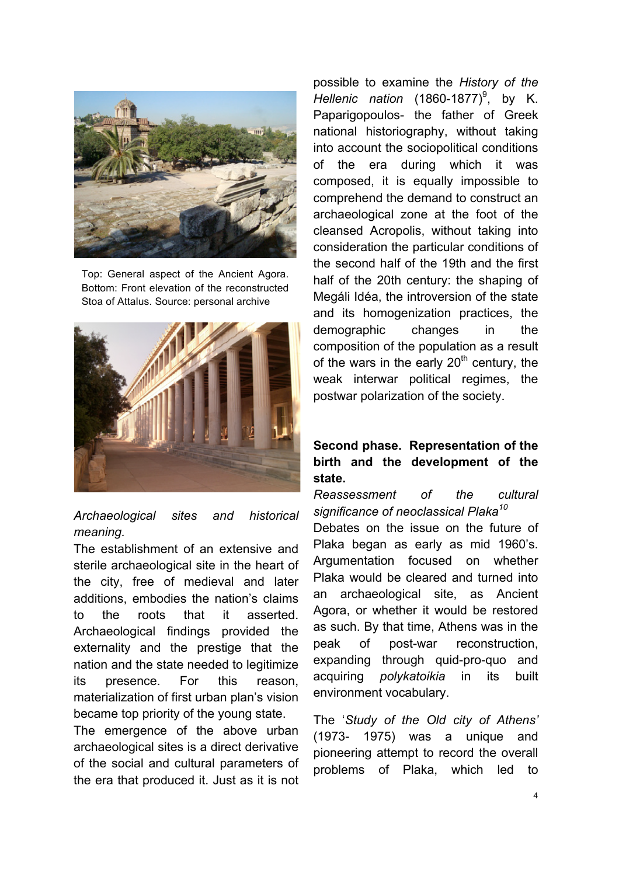

Top: General aspect of the Ancient Agora. Bottom: Front elevation of the reconstructed Stoa of Attalus. Source: personal archive



## *Archaeological sites and historical meaning.*

The establishment of an extensive and sterile archaeological site in the heart of the city, free of medieval and later additions, embodies the nation's claims to the roots that it asserted. Archaeological findings provided the externality and the prestige that the nation and the state needed to legitimize its presence. For this reason, materialization of first urban plan's vision became top priority of the young state.

The emergence of the above urban archaeological sites is a direct derivative of the social and cultural parameters of the era that produced it. Just as it is not possible to examine the *History of the Hellenic nation* (1860-1877) 9 , by K. Paparigopoulos- the father of Greek national historiography, without taking into account the sociopolitical conditions of the era during which it was composed, it is equally impossible to comprehend the demand to construct an archaeological zone at the foot of the cleansed Acropolis, without taking into consideration the particular conditions of the second half of the 19th and the first half of the 20th century: the shaping of Megáli Idéa, the introversion of the state and its homogenization practices, the demographic changes in the composition of the population as a result of the wars in the early  $20<sup>th</sup>$  century, the weak interwar political regimes, the postwar polarization of the society.

# **Second phase. Representation of the birth and the development of the state.**

*Reassessment of the cultural significance of neoclassical Plaka10*

Debates on the issue on the future of Plaka began as early as mid 1960's. Argumentation focused on whether Plaka would be cleared and turned into an archaeological site, as Ancient Agora, or whether it would be restored as such. By that time, Athens was in the peak of post-war reconstruction, expanding through quid-pro-quo and acquiring *polykatoikia* in its built environment vocabulary.

The '*Study of the Old city of Athens'* (1973- 1975) was a unique and pioneering attempt to record the overall problems of Plaka, which led to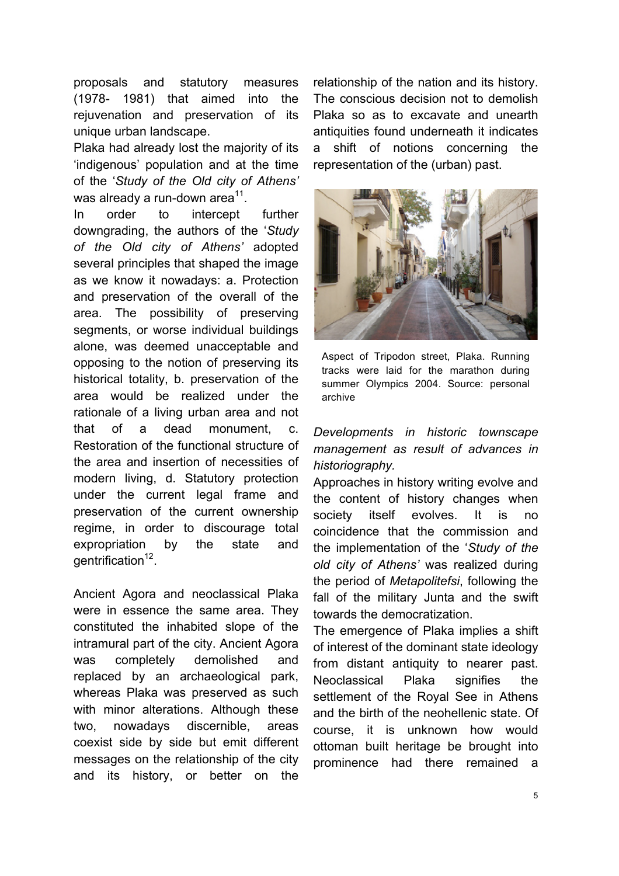proposals and statutory measures (1978- 1981) that aimed into the rejuvenation and preservation of its unique urban landscape.

Plaka had already lost the majority of its 'indigenous' population and at the time of the '*Study of the Old city of Athens'*  was already a run-down area<sup>11</sup>.

In order to intercept further downgrading, the authors of the '*Study of the Old city of Athens'* adopted several principles that shaped the image as we know it nowadays: a. Protection and preservation of the overall of the area. The possibility of preserving segments, or worse individual buildings alone, was deemed unacceptable and opposing to the notion of preserving its historical totality, b. preservation of the area would be realized under the rationale of a living urban area and not that of a dead monument, c. Restoration of the functional structure of the area and insertion of necessities of modern living, d. Statutory protection under the current legal frame and preservation of the current ownership regime, in order to discourage total expropriation by the state and  $a$ entrification<sup>12</sup>.

Ancient Agora and neoclassical Plaka were in essence the same area. They constituted the inhabited slope of the intramural part of the city. Ancient Agora was completely demolished and replaced by an archaeological park, whereas Plaka was preserved as such with minor alterations. Although these two, nowadays discernible, areas coexist side by side but emit different messages on the relationship of the city and its history, or better on the

relationship of the nation and its history. The conscious decision not to demolish Plaka so as to excavate and unearth antiquities found underneath it indicates a shift of notions concerning the representation of the (urban) past.



Aspect of Tripodon street, Plaka. Running tracks were laid for the marathon during summer Olympics 2004. Source: personal archive

# *Developments in historic townscape management as result of advances in historiography.*

Approaches in history writing evolve and the content of history changes when society itself evolves. It is no coincidence that the commission and the implementation of the '*Study of the old city of Athens'* was realized during the period of *Metapolitefsi*, following the fall of the military Junta and the swift towards the democratization.

The emergence of Plaka implies a shift of interest of the dominant state ideology from distant antiquity to nearer past. Neoclassical Plaka signifies the settlement of the Royal See in Athens and the birth of the neohellenic state. Of course, it is unknown how would ottoman built heritage be brought into prominence had there remained a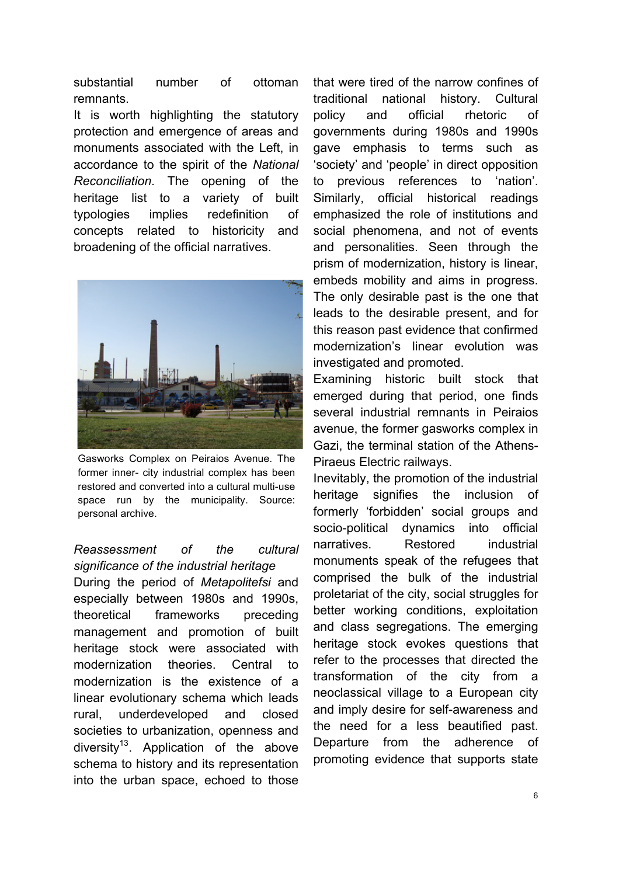substantial number of ottoman remnants.

It is worth highlighting the statutory protection and emergence of areas and monuments associated with the Left, in accordance to the spirit of the *National Reconciliation*. The opening of the heritage list to a variety of built typologies implies redefinition of concepts related to historicity and broadening of the official narratives.



Gasworks Complex on Peiraios Avenue. The former inner- city industrial complex has been restored and converted into a cultural multi-use space run by the municipality. Source: personal archive.

# *Reassessment of the cultural significance of the industrial heritage*

During the period of *Metapolitefsi* and especially between 1980s and 1990s, theoretical frameworks preceding management and promotion of built heritage stock were associated with modernization theories. Central to modernization is the existence of a linear evolutionary schema which leads rural, underdeveloped and closed societies to urbanization, openness and diversity<sup>13</sup>. Application of the above schema to history and its representation into the urban space, echoed to those

that were tired of the narrow confines of traditional national history. Cultural policy and official rhetoric of governments during 1980s and 1990s gave emphasis to terms such as 'society' and 'people' in direct opposition to previous references to 'nation'. Similarly, official historical readings emphasized the role of institutions and social phenomena, and not of events and personalities. Seen through the prism of modernization, history is linear, embeds mobility and aims in progress. The only desirable past is the one that leads to the desirable present, and for this reason past evidence that confirmed modernization's linear evolution was investigated and promoted.

Examining historic built stock that emerged during that period, one finds several industrial remnants in Peiraios avenue, the former gasworks complex in Gazi, the terminal station of the Athens-Piraeus Electric railways.

Inevitably, the promotion of the industrial heritage signifies the inclusion of formerly 'forbidden' social groups and socio-political dynamics into official narratives. Restored industrial monuments speak of the refugees that comprised the bulk of the industrial proletariat of the city, social struggles for better working conditions, exploitation and class segregations. The emerging heritage stock evokes questions that refer to the processes that directed the transformation of the city from a neoclassical village to a European city and imply desire for self-awareness and the need for a less beautified past. Departure from the adherence of promoting evidence that supports state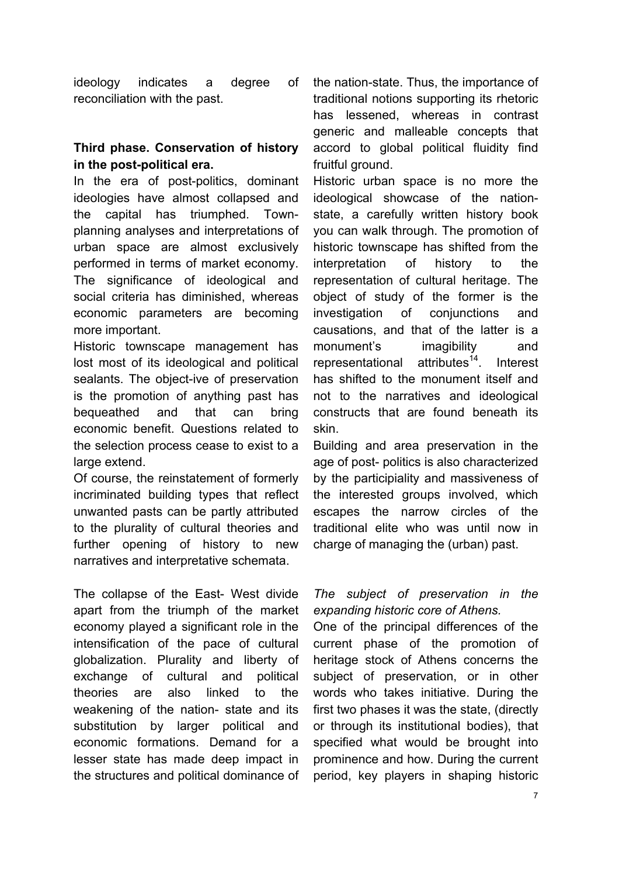ideology indicates a degree of reconciliation with the past.

# **Third phase. Conservation of history in the post-political era.**

In the era of post-politics, dominant ideologies have almost collapsed and the capital has triumphed. Townplanning analyses and interpretations of urban space are almost exclusively performed in terms of market economy. The significance of ideological and social criteria has diminished, whereas economic parameters are becoming more important.

Historic townscape management has lost most of its ideological and political sealants. The object-ive of preservation is the promotion of anything past has bequeathed and that can bring economic benefit. Questions related to the selection process cease to exist to a large extend.

Of course, the reinstatement of formerly incriminated building types that reflect unwanted pasts can be partly attributed to the plurality of cultural theories and further opening of history to new narratives and interpretative schemata.

The collapse of the East- West divide apart from the triumph of the market economy played a significant role in the intensification of the pace of cultural globalization. Plurality and liberty of exchange of cultural and political theories are also linked to the weakening of the nation- state and its substitution by larger political and economic formations. Demand for a lesser state has made deep impact in the structures and political dominance of

the nation-state. Thus, the importance of traditional notions supporting its rhetoric has lessened, whereas in contrast generic and malleable concepts that accord to global political fluidity find fruitful ground.

Historic urban space is no more the ideological showcase of the nationstate, a carefully written history book you can walk through. The promotion of historic townscape has shifted from the interpretation of history to the representation of cultural heritage. The object of study of the former is the investigation of conjunctions and causations, and that of the latter is a monument's imagibility and representational attributes<sup>14</sup>. Interest has shifted to the monument itself and not to the narratives and ideological constructs that are found beneath its skin.

Building and area preservation in the age of post- politics is also characterized by the participiality and massiveness of the interested groups involved, which escapes the narrow circles of the traditional elite who was until now in charge of managing the (urban) past.

## *The subject of preservation in the expanding historic core of Athens.*

One of the principal differences of the current phase of the promotion of heritage stock of Athens concerns the subject of preservation, or in other words who takes initiative. During the first two phases it was the state, (directly or through its institutional bodies), that specified what would be brought into prominence and how. During the current period, key players in shaping historic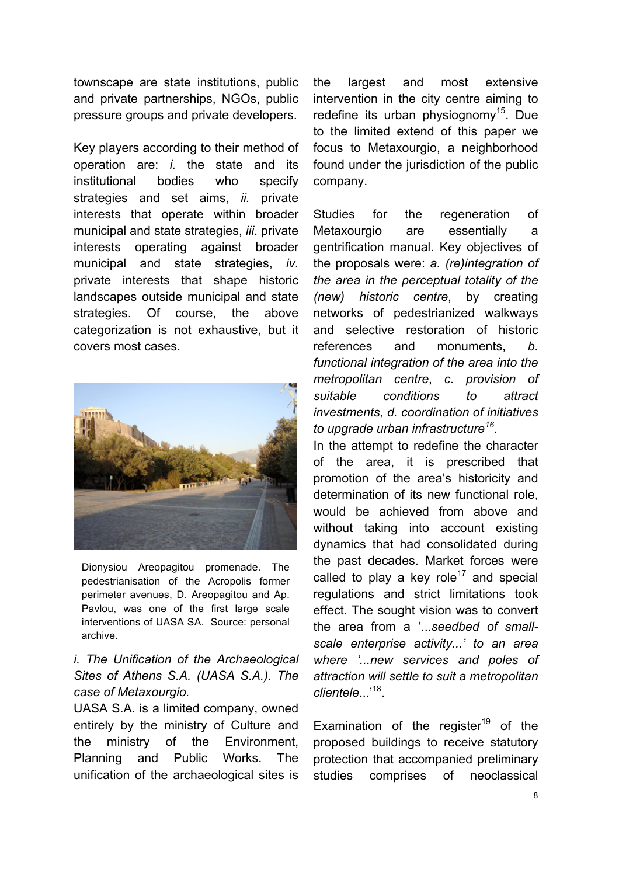townscape are state institutions, public and private partnerships, NGOs, public pressure groups and private developers.

Key players according to their method of operation are: *i.* the state and its institutional bodies who specify strategies and set aims, *ii.* private interests that operate within broader municipal and state strategies, *iii*. private interests operating against broader municipal and state strategies, *iv.*  private interests that shape historic landscapes outside municipal and state strategies. Of course, the above categorization is not exhaustive, but it covers most cases.



Dionysiou Areopagitou promenade. The pedestrianisation of the Acropolis former perimeter avenues, D. Areopagitou and Ap. Pavlou, was one of the first large scale interventions of UASA SA. Source: personal archive.

# *i. The Unification of the Archaeological Sites of Athens S.A. (UASA S.A.). The case of Metaxourgio.*

UASA S.A. is a limited company, owned entirely by the ministry of Culture and the ministry of the Environment, Planning and Public Works. The unification of the archaeological sites is

the largest and most extensive intervention in the city centre aiming to redefine its urban physiognomy<sup>15</sup>. Due to the limited extend of this paper we focus to Metaxourgio, a neighborhood found under the jurisdiction of the public company.

Studies for the regeneration of Metaxourgio are essentially a gentrification manual. Key objectives of the proposals were: *a. (re)integration of the area in the perceptual totality of the (new) historic centre*, by creating networks of pedestrianized walkways and selective restoration of historic references and monuments, *b. functional integration of the area into the metropolitan centre*, *c. provision of suitable conditions to attract investments, d. coordination of initiatives to upgrade urban infrastructure16.*

In the attempt to redefine the character of the area, it is prescribed that promotion of the area's historicity and determination of its new functional role, would be achieved from above and without taking into account existing dynamics that had consolidated during the past decades. Market forces were called to play a key role<sup>17</sup> and special regulations and strict limitations took effect. The sought vision was to convert the area from a '...*seedbed of smallscale enterprise activity...' to an area where '...new services and poles of attraction will settle to suit a metropolitan clientele*...'18.

Examination of the register<sup>19</sup> of the proposed buildings to receive statutory protection that accompanied preliminary studies comprises of neoclassical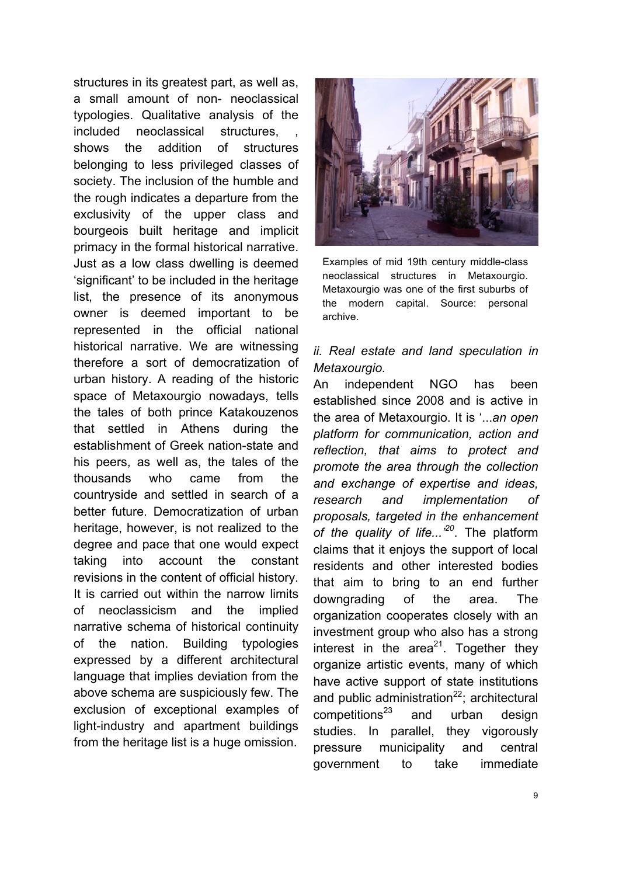structures in its greatest part, as well as, a small amount of non- neoclassical typologies. Qualitative analysis of the included neoclassical structures, shows the addition of structures belonging to less privileged classes of society. The inclusion of the humble and the rough indicates a departure from the exclusivity of the upper class and bourgeois built heritage and implicit primacy in the formal historical narrative. Just as a low class dwelling is deemed 'significant' to be included in the heritage list, the presence of its anonymous owner is deemed important to be represented in the official national historical narrative. We are witnessing therefore a sort of democratization of urban history. A reading of the historic space of Metaxourgio nowadays, tells the tales of both prince Katakouzenos that settled in Athens during the establishment of Greek nation-state and his peers, as well as, the tales of the thousands who came from the countryside and settled in search of a better future. Democratization of urban heritage, however, is not realized to the degree and pace that one would expect taking into account the constant revisions in the content of official history. It is carried out within the narrow limits of neoclassicism and the implied narrative schema of historical continuity of the nation. Building typologies expressed by a different architectural language that implies deviation from the above schema are suspiciously few. The exclusion of exceptional examples of light-industry and apartment buildings from the heritage list is a huge omission.



Examples of mid 19th century middle-class neoclassical structures in Metaxourgio. Metaxourgio was one of the first suburbs of the modern capital. Source: personal archive.

# *ii. Real estate and land speculation in Metaxourgio.*

An independent NGO has been established since 2008 and is active in the area of Metaxourgio. It is '...*an open platform for communication, action and reflection, that aims to protect and promote the area through the collection and exchange of expertise and ideas, research and implementation of proposals, targeted in the enhancement of the quality of life...'<sup>20</sup>*. The platform claims that it enjoys the support of local residents and other interested bodies that aim to bring to an end further downgrading of the area. The organization cooperates closely with an investment group who also has a strong interest in the  $area^{21}$ . Together they organize artistic events, many of which have active support of state institutions and public administration $^{22}$ ; architectural  $competitions<sup>23</sup>$  and urban design studies. In parallel, they vigorously pressure municipality and central government to take immediate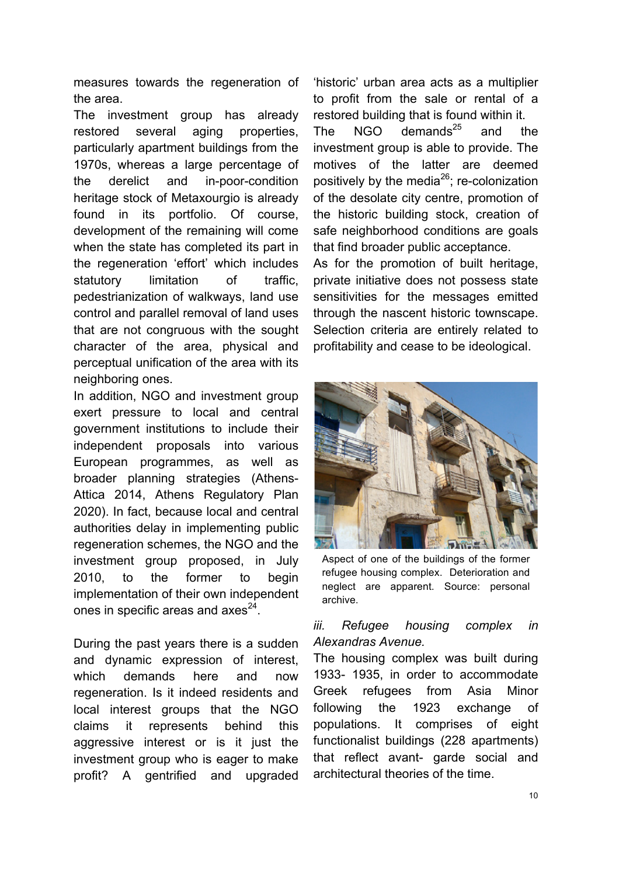measures towards the regeneration of the area.

The investment group has already restored several aging properties, particularly apartment buildings from the 1970s, whereas a large percentage of the derelict and in-poor-condition heritage stock of Metaxourgio is already found in its portfolio. Of course, development of the remaining will come when the state has completed its part in the regeneration 'effort' which includes statutory limitation of traffic, pedestrianization of walkways, land use control and parallel removal of land uses that are not congruous with the sought character of the area, physical and perceptual unification of the area with its neighboring ones.

In addition, NGO and investment group exert pressure to local and central government institutions to include their independent proposals into various European programmes, as well as broader planning strategies (Athens-Attica 2014, Athens Regulatory Plan 2020). In fact, because local and central authorities delay in implementing public regeneration schemes, the NGO and the investment group proposed, in July 2010, to the former to begin implementation of their own independent ones in specific areas and  $a$ xes<sup>24</sup>.

During the past years there is a sudden and dynamic expression of interest, which demands here and now regeneration. Is it indeed residents and local interest groups that the NGO claims it represents behind this aggressive interest or is it just the investment group who is eager to make profit? A gentrified and upgraded 'historic' urban area acts as a multiplier to profit from the sale or rental of a restored building that is found within it.

The NGO demands $^{25}$  and the investment group is able to provide. The motives of the latter are deemed positively by the media $^{26}$ ; re-colonization of the desolate city centre, promotion of the historic building stock, creation of safe neighborhood conditions are goals that find broader public acceptance.

As for the promotion of built heritage, private initiative does not possess state sensitivities for the messages emitted through the nascent historic townscape. Selection criteria are entirely related to profitability and cease to be ideological.



Aspect of one of the buildings of the former refugee housing complex. Deterioration and neglect are apparent. Source: personal archive.

## *iii. Refugee housing complex in Alexandras Avenue.*

The housing complex was built during 1933- 1935, in order to accommodate Greek refugees from Asia Minor following the 1923 exchange of populations. It comprises of eight functionalist buildings (228 apartments) that reflect avant- garde social and architectural theories of the time.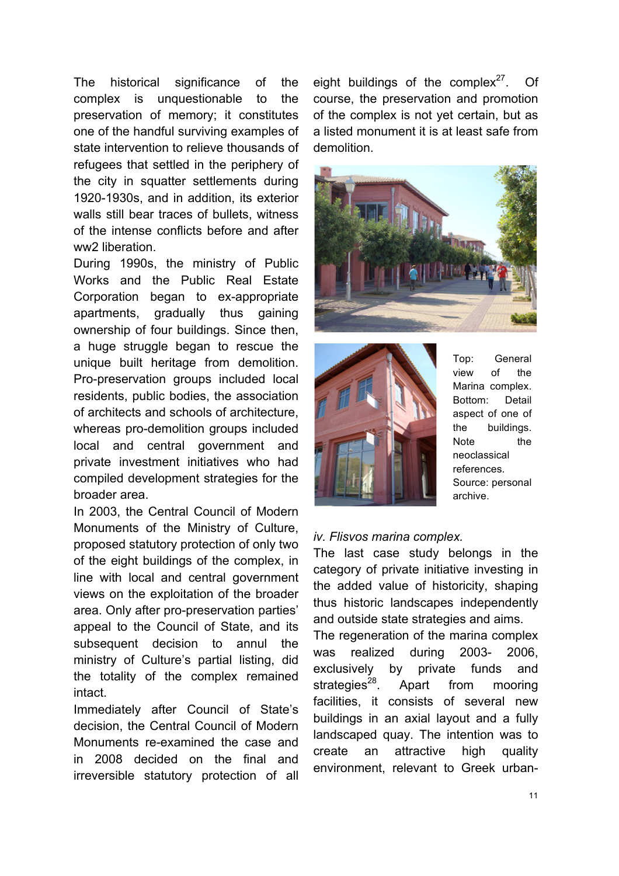The historical significance of the complex is unquestionable to the preservation of memory; it constitutes one of the handful surviving examples of state intervention to relieve thousands of refugees that settled in the periphery of the city in squatter settlements during 1920-1930s, and in addition, its exterior walls still bear traces of bullets, witness of the intense conflicts before and after ww2 liberation.

During 1990s, the ministry of Public Works and the Public Real Estate Corporation began to ex-appropriate apartments, gradually thus gaining ownership of four buildings. Since then, a huge struggle began to rescue the unique built heritage from demolition. Pro-preservation groups included local residents, public bodies, the association of architects and schools of architecture, whereas pro-demolition groups included local and central government and private investment initiatives who had compiled development strategies for the broader area.

In 2003, the Central Council of Modern Monuments of the Ministry of Culture, proposed statutory protection of only two of the eight buildings of the complex, in line with local and central government views on the exploitation of the broader area. Only after pro-preservation parties' appeal to the Council of State, and its subsequent decision to annul the ministry of Culture's partial listing, did the totality of the complex remained **intact** 

Immediately after Council of State's decision, the Central Council of Modern Monuments re-examined the case and in 2008 decided on the final and irreversible statutory protection of all

eight buildings of the complex<sup>27</sup>. Of course, the preservation and promotion of the complex is not yet certain, but as a listed monument it is at least safe from demolition.





Top: General view of the Marina complex. Bottom: Detail aspect of one of the buildings. Note the neoclassical references. Source: personal archive.

#### *iv. Flisvos marina complex.*

The last case study belongs in the category of private initiative investing in the added value of historicity, shaping thus historic landscapes independently and outside state strategies and aims. The regeneration of the marina complex

was realized during 2003- 2006, exclusively by private funds and strategies<sup>28</sup>. Apart from mooring facilities, it consists of several new buildings in an axial layout and a fully landscaped quay. The intention was to create an attractive high quality environment, relevant to Greek urban-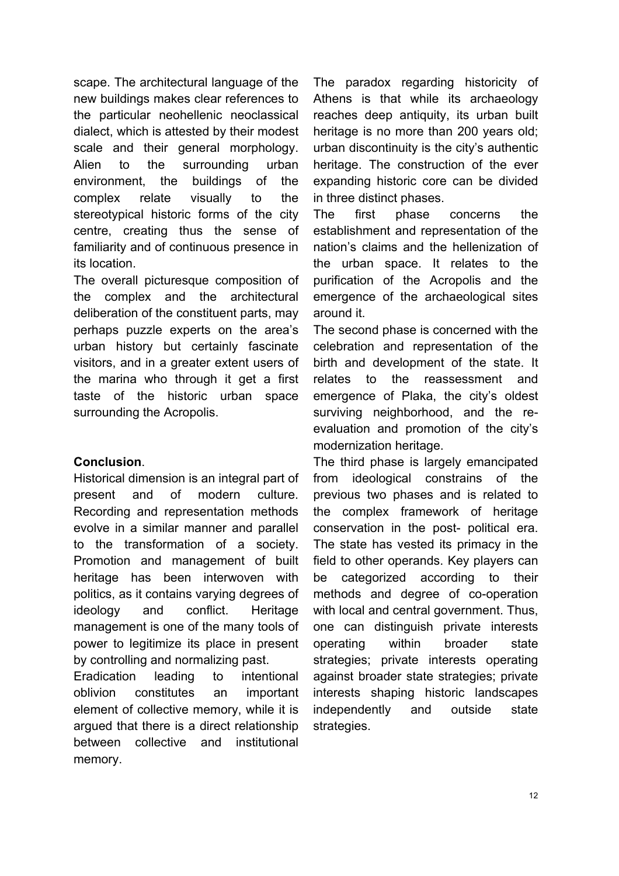scape. The architectural language of the new buildings makes clear references to the particular neohellenic neoclassical dialect, which is attested by their modest scale and their general morphology. Alien to the surrounding urban environment, the buildings of the complex relate visually to the stereotypical historic forms of the city centre, creating thus the sense of familiarity and of continuous presence in its location.

The overall picturesque composition of the complex and the architectural deliberation of the constituent parts, may perhaps puzzle experts on the area's urban history but certainly fascinate visitors, and in a greater extent users of the marina who through it get a first taste of the historic urban space surrounding the Acropolis.

#### **Conclusion**.

Historical dimension is an integral part of present and of modern culture. Recording and representation methods evolve in a similar manner and parallel to the transformation of a society. Promotion and management of built heritage has been interwoven with politics, as it contains varying degrees of ideology and conflict. Heritage management is one of the many tools of power to legitimize its place in present by controlling and normalizing past.

Eradication leading to intentional oblivion constitutes an important element of collective memory, while it is argued that there is a direct relationship between collective and institutional memory.

The paradox regarding historicity of Athens is that while its archaeology reaches deep antiquity, its urban built heritage is no more than 200 years old; urban discontinuity is the city's authentic heritage. The construction of the ever expanding historic core can be divided in three distinct phases.

The first phase concerns the establishment and representation of the nation's claims and the hellenization of the urban space. It relates to the purification of the Acropolis and the emergence of the archaeological sites around it.

The second phase is concerned with the celebration and representation of the birth and development of the state. It relates to the reassessment and emergence of Plaka, the city's oldest surviving neighborhood, and the reevaluation and promotion of the city's modernization heritage.

The third phase is largely emancipated from ideological constrains of the previous two phases and is related to the complex framework of heritage conservation in the post- political era. The state has vested its primacy in the field to other operands. Key players can be categorized according to their methods and degree of co-operation with local and central government. Thus, one can distinguish private interests operating within broader state strategies; private interests operating against broader state strategies; private interests shaping historic landscapes independently and outside state strategies.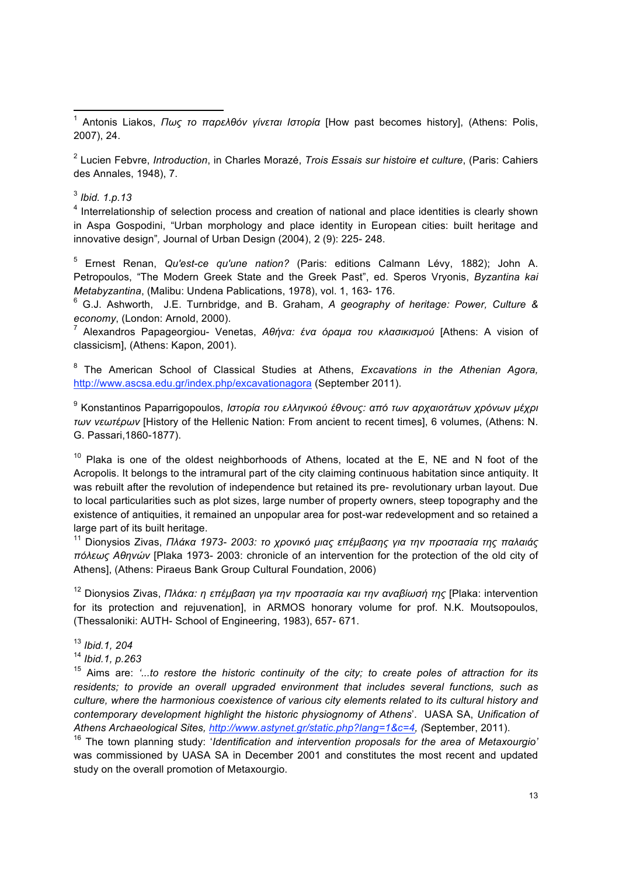<sup>1</sup> Antonis Liakos, *Πως το παρελθόν γίνεται Ιστορία* [How past becomes history], (Athens: Polis, 2007), 24.

<sup>2</sup> Lucien Febvre, *Introduction*, in Charles Morazé, *Trois Essais sur histoire et culture*, (Paris: Cahiers des Annales, 1948), 7.

<sup>3</sup> *Ibid. 1.p.13*

<sup>4</sup> Interrelationship of selection process and creation of national and place identities is clearly shown in Aspa Gospodini, "Urban morphology and place identity in European cities: built heritage and innovative design"*,* Journal of Urban Design (2004), 2 (9): 225- 248.

<sup>5</sup> Ernest Renan, *Qu'est-ce qu'une nation?* (Paris: editions Calmann Lévy, 1882); John A. Petropoulos, "The Modern Greek State and the Greek Past", ed. Speros Vryonis, *Byzantina kai Metabyzantina*, (Malibu: Undena Pablications, 1978), vol. 1, 163- 176.

<sup>6</sup> G.J. Ashworth, J.E. Turnbridge, and B. Graham, *A geography of heritage: Power, Culture & economy*, (London: Arnold, 2000).

<sup>7</sup> Alexandros Papageorgiou- Venetas, *Αθήνα: ένα όραµα του κλασικισµού* [Athens: A vision of classicism], (Athens: Kapon, 2001).

<sup>8</sup> The American School of Classical Studies at Athens, *Excavations in the Athenian Agora,* http://www.ascsa.edu.gr/index.php/excavationagora (September 2011).

<sup>9</sup> Konstantinos Paparrigopoulos, *Ιστορία του ελληνικού έθνους: από των αρχαιοτάτων χρόνων µέχρι των νεωτέρων* [History of the Hellenic Nation: From ancient to recent times], 6 volumes, (Athens: N. G. Passari,1860-1877).

 $10$  Plaka is one of the oldest neighborhoods of Athens, located at the E, NE and N foot of the Acropolis. It belongs to the intramural part of the city claiming continuous habitation since antiquity. It was rebuilt after the revolution of independence but retained its pre- revolutionary urban layout. Due to local particularities such as plot sizes, large number of property owners, steep topography and the existence of antiquities, it remained an unpopular area for post-war redevelopment and so retained a large part of its built heritage.

<sup>11</sup> Dionysios Zivas, *Πλάκα 1973- 2003: το χρονικό µιας επέµβασης για την προστασία της παλαιάς πόλεως Αθηνών* [Plaka 1973- 2003: chronicle of an intervention for the protection of the old city of Athens], (Athens: Piraeus Bank Group Cultural Foundation, 2006)

<sup>12</sup> Dionysios Zivas, *Πλάκα: η επέµβαση για την προστασία και την αναβίωσή της* [Plaka: intervention for its protection and rejuvenation], in ARMOS honorary volume for prof. N.K. Moutsopoulos, (Thessaloniki: AUTH- School of Engineering, 1983), 657- 671.

<sup>13</sup> *Ibid.1, 204*

<sup>14</sup> *Ibid.1, p.263*

<sup>15</sup> Aims are: *'...to restore the historic continuity of the city; to create poles of attraction for its residents; to provide an overall upgraded environment that includes several functions, such as culture, where the harmonious coexistence of various city elements related to its cultural history and contemporary development highlight the historic physiognomy of Athens*'. UASA SA, *Unification of Athens Archaeological Sites, http://www.astynet.gr/static.php?lang=1&c=4, (*September, 2011).

16 The town planning study: '*Identification and intervention proposals for the area of Metaxourgio'* was commissioned by UASA SA in December 2001 and constitutes the most recent and updated study on the overall promotion of Metaxourgio.